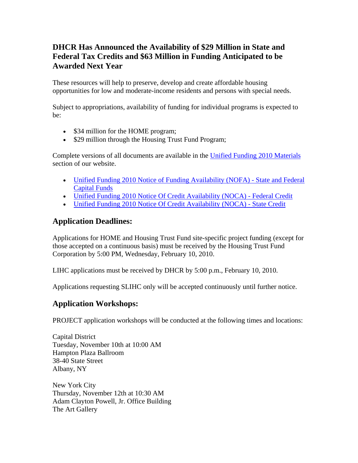## **DHCR Has Announced the Availability of \$29 Million in State and Federal Tax Credits and \$63 Million in Funding Anticipated to be Awarded Next Year**

These resources will help to preserve, develop and create affordable housing opportunities for low and moderate-income residents and persons with special needs.

Subject to appropriations, availability of funding for individual programs is expected to be:

- \$34 million for the HOME program;
- \$29 million through the Housing Trust Fund Program;

Complete versions of all documents are available in the [Unified Funding 2010 Materials](http://nysdhcr.gov/Funding/) section of our website.

- Unified Funding 2010 Notice of Funding Availability (NOFA) State and Federal [Capital Funds](http://nysdhcr.gov/Funding/nofas/2010_NOFA_Capital.pdf)
- [Unified Funding 2010 Notice Of Credit Availability \(NOCA\) Federal Credit](http://nysdhcr.gov/Funding/nofas/2010_NOCA_LIHC.pdf)
- [Unified Funding 2010 Notice Of Credit Availability \(NOCA\) State Credit](http://nysdhcr.gov/Funding/nofas/2010_NOCA_SLIHC.pdf)

## **Application Deadlines:**

Applications for HOME and Housing Trust Fund site-specific project funding (except for those accepted on a continuous basis) must be received by the Housing Trust Fund Corporation by 5:00 PM, Wednesday, February 10, 2010.

LIHC applications must be received by DHCR by 5:00 p.m., February 10, 2010.

Applications requesting SLIHC only will be accepted continuously until further notice.

## **Application Workshops:**

PROJECT application workshops will be conducted at the following times and locations:

Capital District Tuesday, November 10th at 10:00 AM Hampton Plaza Ballroom 38-40 State Street Albany, NY

New York City Thursday, November 12th at 10:30 AM Adam Clayton Powell, Jr. Office Building The Art Gallery